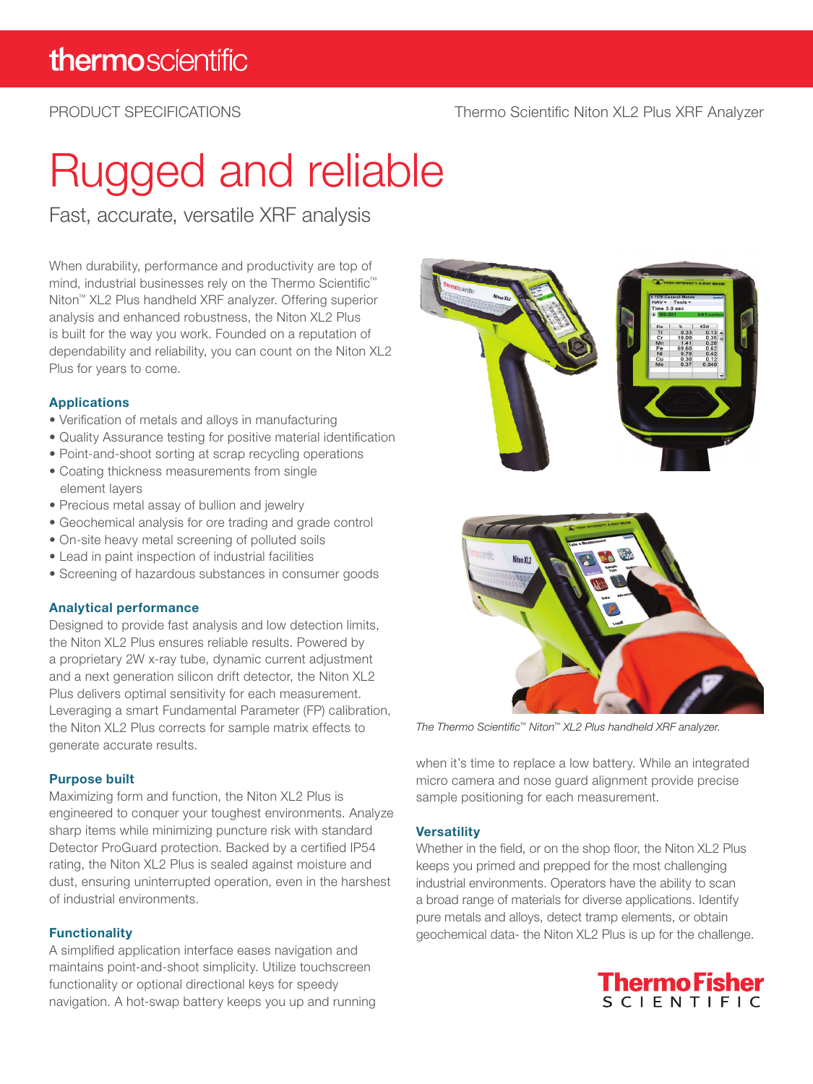### PRODUCT SPECIFICATIONS

# Rugged and reliable

Fast, accurate, versatile XRF analysis

When durability, performance and productivity are top of mind, industrial businesses rely on the Thermo Scientific™ Niton™ XL2 Plus handheld XRF analyzer. Offering superior analysis and enhanced robustness, the Niton XL2 Plus is built for the way you work. Founded on a reputation of dependability and reliability, you can count on the Niton XL2 Plus for years to come.

#### Applications

- Verification of metals and alloys in manufacturing
- Quality Assurance testing for positive material identification
- Point-and-shoot sorting at scrap recycling operations
- Coating thickness measurements from single element layers
- Precious metal assay of bullion and jewelry
- Geochemical analysis for ore trading and grade control
- On-site heavy metal screening of polluted soils
- Lead in paint inspection of industrial facilities
- Screening of hazardous substances in consumer goods

#### Analytical performance

Designed to provide fast analysis and low detection limits, the Niton XL2 Plus ensures reliable results. Powered by a proprietary 2W x-ray tube, dynamic current adjustment and a next generation silicon drift detector, the Niton XL2 Plus delivers optimal sensitivity for each measurement. Leveraging a smart Fundamental Parameter (FP) calibration, the Niton XL2 Plus corrects for sample matrix effects to generate accurate results.

#### Purpose built

Maximizing form and function, the Niton XL2 Plus is engineered to conquer your toughest environments. Analyze sharp items while minimizing puncture risk with standard Detector ProGuard protection. Backed by a certified IP54 rating, the Niton XL2 Plus is sealed against moisture and dust, ensuring uninterrupted operation, even in the harshest of industrial environments.

#### **Functionality**

A simplified application interface eases navigation and maintains point-and-shoot simplicity. Utilize touchscreen functionality or optional directional keys for speedy navigation. A hot-swap battery keeps you up and running





*The Thermo Scientific™ Niton™ XL2 Plus handheld XRF analyzer.*

when it's time to replace a low battery. While an integrated micro camera and nose guard alignment provide precise sample positioning for each measurement.

#### **Versatility**

Whether in the field, or on the shop floor, the Niton XL2 Plus keeps you primed and prepped for the most challenging industrial environments. Operators have the ability to scan a broad range of materials for diverse applications. Identify pure metals and alloys, detect tramp elements, or obtain geochemical data- the Niton XL2 Plus is up for the challenge.